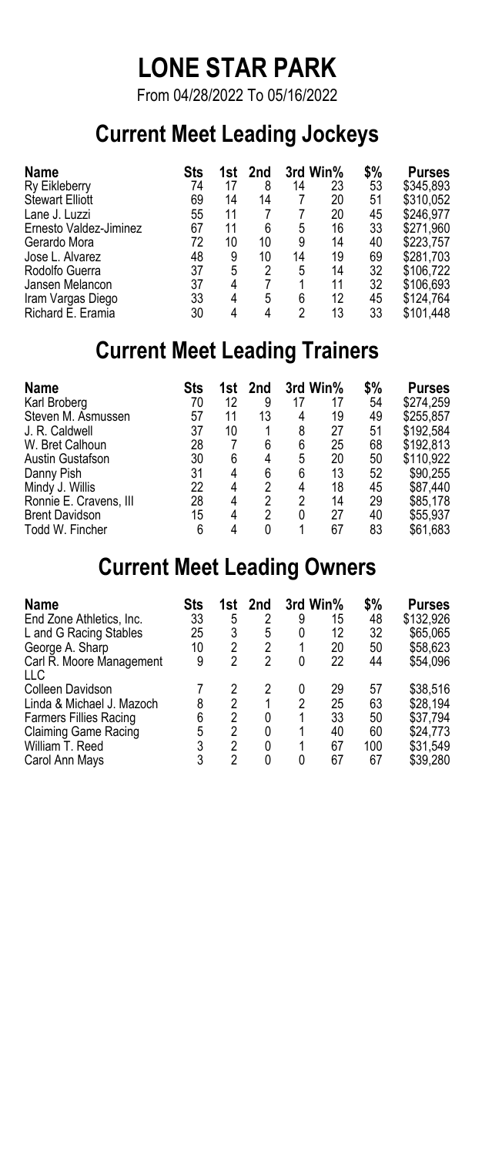# **LONE STAR PARK**

From 04/28/2022 To 05/16/2022

### **Current Meet Leading Jockeys**

| Name                   | Sts | 1st l | 2nd |    | 3rd Win% | \$% | <b>Purses</b> |
|------------------------|-----|-------|-----|----|----------|-----|---------------|
| Ry Eikleberry          | 74  | 17    | 8   | 14 | 23       | 53  | \$345.893     |
| <b>Stewart Elliott</b> | 69  | 14    | 14  |    | 20       | 51  | \$310.052     |
| Lane J. Luzzi          | 55  | 11    |     |    | 20       | 45  | \$246.977     |
| Ernesto Valdez-Jiminez | 67  | 11    | 6   | 5  | 16       | 33  | \$271.960     |
| Gerardo Mora           | 72  | 10    | 10  | 9  | 14       | 40  | \$223.757     |
| Jose L. Alvarez        | 48  | 9     | 10  | 14 | 19       | 69  | \$281.703     |
| Rodolfo Guerra         | 37  | 5     | 2   | 5  | 14       | 32  | \$106.722     |
| Jansen Melancon        | 37  | 4     |     | 1  | 11       | 32  | \$106.693     |
| Iram Vargas Diego      | 33  | 4     | 5   | 6  | 12       | 45  | \$124.764     |
| Richard E. Eramia      | 30  |       | 4   | 2  | 13       | 33  | \$101.448     |

### **Current Meet Leading Trainers**

| Name                   | Sts | 1st l | 2nd |    | 3rd Win% | \$% | <b>Purses</b> |
|------------------------|-----|-------|-----|----|----------|-----|---------------|
| Karl Broberg           | 70  | 12    | 9   | 17 | 17       | 54  | \$274.259     |
| Steven M. Asmussen     | 57  | 11    | 13  | 4  | 19       | 49  | \$255,857     |
| J. R. Caldwell         | 37  | 10    |     | 8  | 27       | 51  | \$192.584     |
| W. Bret Calhoun        | 28  |       | 6   | 6  | 25       | 68  | \$192.813     |
| Austin Gustafson       | 30  | 6     | 4   | 5  | 20       | 50  | \$110.922     |
| Danny Pish             | 31  | 4     | 6   | 6  | 13       | 52  | \$90.255      |
| Mindy J. Willis        | 22  | 4     | 2   | 4  | 18       | 45  | \$87.440      |
| Ronnie E. Cravens, III | 28  | 4     | 2   | 2  | 14       | 29  | \$85.178      |
| <b>Brent Davidson</b>  | 15  | 4     | 2   | 0  | 27       | 40  | \$55,937      |
| Todd W. Fincher        | 6   |       | 0   | 4  | 67       | 83  | \$61.683      |

### **Current Meet Leading Owners**

| Name                          | Sts | 1st l | 2nd      |   | 3rd Win% | \$% | <b>Purses</b> |
|-------------------------------|-----|-------|----------|---|----------|-----|---------------|
| End Zone Athletics, Inc.      | 33  | 5     | 2        | 9 | 15       | 48  | \$132.926     |
| L and G Racing Stables        | 25  | 3     | 5        | 0 | 12       | 32  | \$65.065      |
| George A. Sharp               | 10  | 2     | 2        |   | 20       | 50  | \$58.623      |
| Carl R. Moore Management      | 9   | 2     | 2        | 0 | 22       | 44  | \$54.096      |
| LLC                           |     |       |          |   |          |     |               |
| Colleen Davidson              |     |       | 2        | 0 | 29       | 57  | \$38.516      |
| Linda & Michael J. Mazoch     | 8   | 2     | 1        | 2 | 25       | 63  | \$28.194      |
| <b>Farmers Fillies Racing</b> | 6   | 2     | 0        | 1 | 33       | 50  | \$37.794      |
| <b>Claiming Game Racing</b>   | 5   | 2     | $\Omega$ | 1 | 40       | 60  | \$24.773      |
| William T. Reed               | 3   | 2     | $\Omega$ | 1 | 67       | 100 | \$31.549      |
| Carol Ann Mays                | 3   | 2     | 0        | 0 | 67       | 67  | \$39.280      |